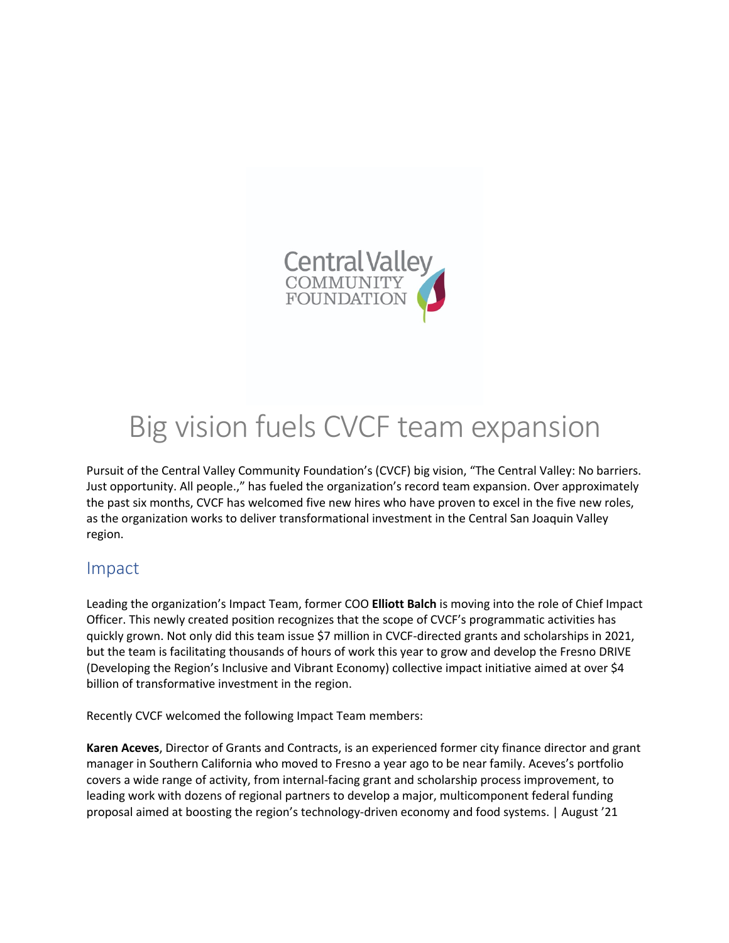

# Big vision fuels CVCF team expansion

Pursuit of the Central Valley Community Foundation's (CVCF) big vision, "The Central Valley: No barriers. Just opportunity. All people.," has fueled the organization's record team expansion. Over approximately the past six months, CVCF has welcomed five new hires who have proven to excel in the five new roles, as the organization works to deliver transformational investment in the Central San Joaquin Valley region.

#### Impact

Leading the organization's Impact Team, former COO **Elliott Balch** is moving into the role of Chief Impact Officer. This newly created position recognizes that the scope of CVCF's programmatic activities has quickly grown. Not only did this team issue \$7 million in CVCF-directed grants and scholarships in 2021, but the team is facilitating thousands of hours of work this year to grow and develop the Fresno DRIVE (Developing the Region's Inclusive and Vibrant Economy) collective impact initiative aimed at over \$4 billion of transformative investment in the region.

Recently CVCF welcomed the following Impact Team members:

**Karen Aceves**, Director of Grants and Contracts, is an experienced former city finance director and grant manager in Southern California who moved to Fresno a year ago to be near family. Aceves's portfolio covers a wide range of activity, from internal-facing grant and scholarship process improvement, to leading work with dozens of regional partners to develop a major, multicomponent federal funding proposal aimed at boosting the region's technology-driven economy and food systems. | August '21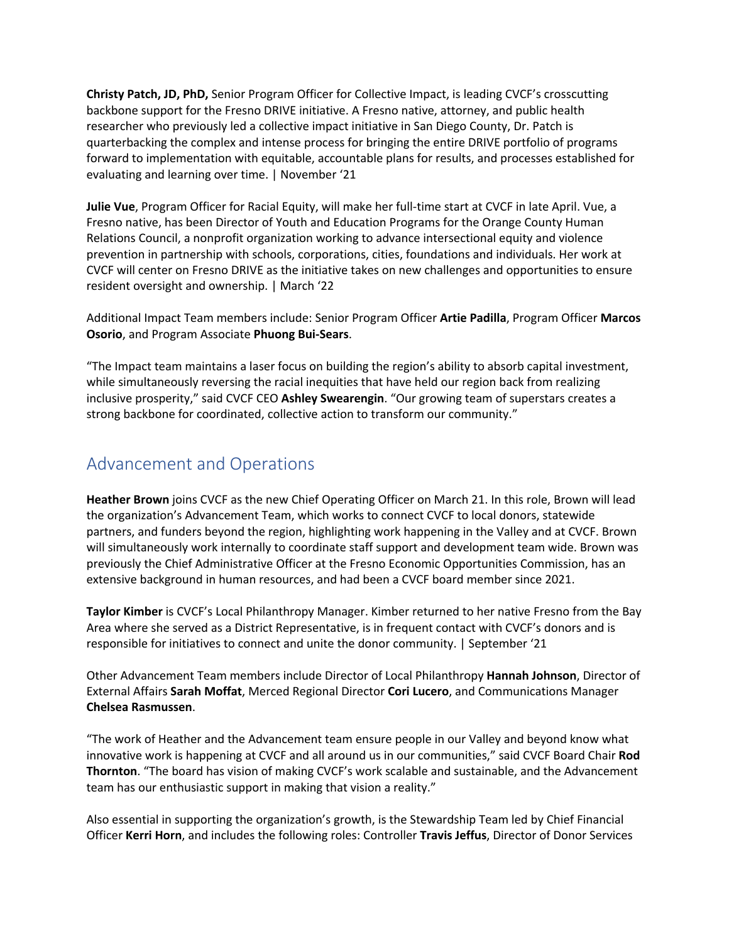**Christy Patch, JD, PhD,** Senior Program Officer for Collective Impact, is leading CVCF's crosscutting backbone support for the Fresno DRIVE initiative. A Fresno native, attorney, and public health researcher who previously led a collective impact initiative in San Diego County, Dr. Patch is quarterbacking the complex and intense process for bringing the entire DRIVE portfolio of programs forward to implementation with equitable, accountable plans for results, and processes established for evaluating and learning over time. | November '21

**Julie Vue**, Program Officer for Racial Equity, will make her full-time start at CVCF in late April. Vue, a Fresno native, has been Director of Youth and Education Programs for the Orange County Human Relations Council, a nonprofit organization working to advance intersectional equity and violence prevention in partnership with schools, corporations, cities, foundations and individuals. Her work at CVCF will center on Fresno DRIVE as the initiative takes on new challenges and opportunities to ensure resident oversight and ownership. | March '22

Additional Impact Team members include: Senior Program Officer **Artie Padilla**, Program Officer **Marcos Osorio**, and Program Associate **Phuong Bui-Sears**.

"The Impact team maintains a laser focus on building the region's ability to absorb capital investment, while simultaneously reversing the racial inequities that have held our region back from realizing inclusive prosperity," said CVCF CEO **Ashley Swearengin**. "Our growing team of superstars creates a strong backbone for coordinated, collective action to transform our community."

### Advancement and Operations

**Heather Brown** joins CVCF as the new Chief Operating Officer on March 21. In this role, Brown will lead the organization's Advancement Team, which works to connect CVCF to local donors, statewide partners, and funders beyond the region, highlighting work happening in the Valley and at CVCF. Brown will simultaneously work internally to coordinate staff support and development team wide. Brown was previously the Chief Administrative Officer at the Fresno Economic Opportunities Commission, has an extensive background in human resources, and had been a CVCF board member since 2021.

**Taylor Kimber** is CVCF's Local Philanthropy Manager. Kimber returned to her native Fresno from the Bay Area where she served as a District Representative, is in frequent contact with CVCF's donors and is responsible for initiatives to connect and unite the donor community. | September '21

Other Advancement Team members include Director of Local Philanthropy **Hannah Johnson**, Director of External Affairs **Sarah Moffat**, Merced Regional Director **Cori Lucero**, and Communications Manager **Chelsea Rasmussen**.

"The work of Heather and the Advancement team ensure people in our Valley and beyond know what innovative work is happening at CVCF and all around us in our communities," said CVCF Board Chair **Rod Thornton**. "The board has vision of making CVCF's work scalable and sustainable, and the Advancement team has our enthusiastic support in making that vision a reality."

Also essential in supporting the organization's growth, is the Stewardship Team led by Chief Financial Officer **Kerri Horn**, and includes the following roles: Controller **Travis Jeffus**, Director of Donor Services